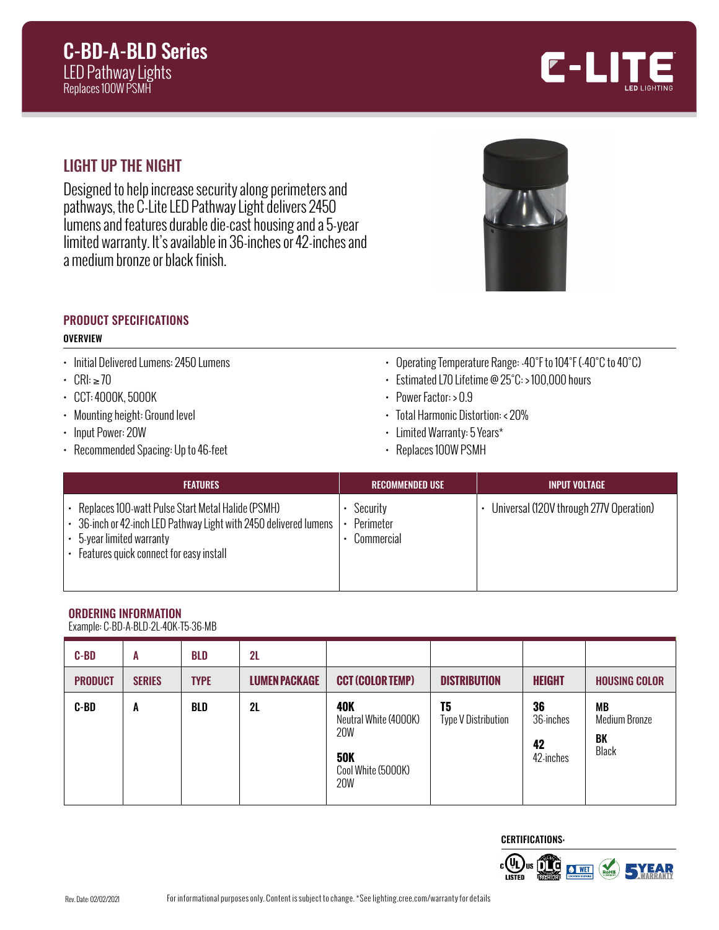# LIGHT UP THE NIGHT

Designed to help increase security along perimeters and pathways, the C-Lite LED Pathway Light delivers 2450 lumens and features durable die-cast housing and a 5-year limited warranty. It's available in 36-inches or 42-inches and a medium bronze or black finish.

## PRODUCT SPECIFICATIONS

#### **OVERVIEW**

- Initial Delivered Lumens: 2450 Lumens
- CRI: ≥ 70
- CCT: 4000K, 5000K
- Mounting height: Ground level
- Input Power: 20W
- Recommended Spacing: Up to 46-feet
- Operating Temperature Range: -40°F to 104°F (-40°C to 40°C)
- Estimated L70 Lifetime @ 25˚C: > 100,000 hours
- Power Factor: > 0.9
- Total Harmonic Distortion: < 20%
- Limited Warranty: 5 Years\*
- Replaces 100W PSMH

| <b>FEATURES</b>                                                                                                                                                                            | <b>RECOMMENDED USE</b>                           | <b>INPUT VOLTAGE</b>                    |
|--------------------------------------------------------------------------------------------------------------------------------------------------------------------------------------------|--------------------------------------------------|-----------------------------------------|
| Replaces 100-watt Pulse Start Metal Halide (PSMH)<br>36-inch or 42-inch LED Pathway Light with 2450 delivered lumens<br>5-year limited warranty<br>Features quick connect for easy install | Security<br>Perimeter<br>$\bullet$<br>Commercial | Universal (120V through 277V Operation) |

### ORDERING INFORMATION

Example: C-BD-A-BLD-2L-40K-T5-36-MB

| <b>C-BD</b>    | A             | BLD         | 2l                   |                                                                                              |                                              |                                    |                                           |
|----------------|---------------|-------------|----------------------|----------------------------------------------------------------------------------------------|----------------------------------------------|------------------------------------|-------------------------------------------|
| <b>PRODUCT</b> | <b>SERIES</b> | <b>TYPE</b> | <b>LUMEN PACKAGE</b> | <b>CCT (COLOR TEMP)</b>                                                                      | <b>DISTRIBUTION</b>                          | <b>HEIGHT</b>                      | <b>HOUSING COLOR</b>                      |
| C-BD           | A             | BLD         | 2 <sub>L</sub>       | <b>40K</b><br>Neutral White (4000K)<br><b>20W</b><br><b>50K</b><br>Cool White (5000K)<br>20W | T <sub>5</sub><br><b>Type V Distribution</b> | 36<br>36-inches<br>42<br>42-inches | MВ<br><b>Medium Bronze</b><br>BK<br>Black |

CERTIFICATIONS:





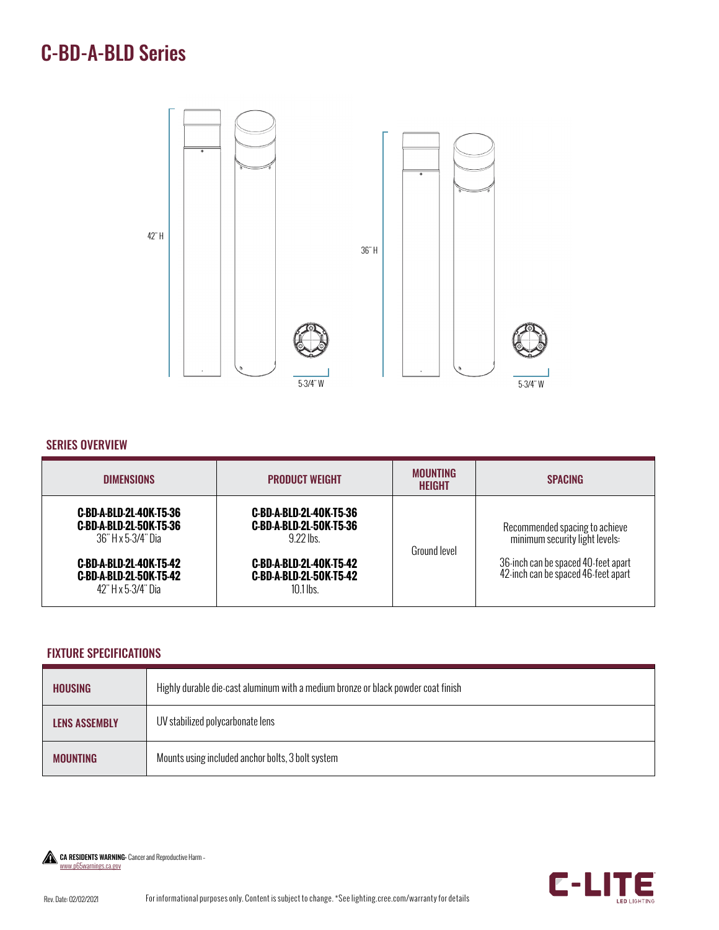# C-BD-A-BLD Series



#### SERIES OVERVIEW

| <b>DIMENSIONS</b>                                                                      | <b>PRODUCT WEIGHT</b>                                                           | <b>MOUNTING</b><br><b>HEIGHT</b> | <b>SPACING</b>                                                             |
|----------------------------------------------------------------------------------------|---------------------------------------------------------------------------------|----------------------------------|----------------------------------------------------------------------------|
| <b>C-BD-A-BLD-2L-40K-T5-36</b><br><b>C-BD-A-BLD-2L-50K-T5-36</b><br>36" H x 5-3/4" Dia | <b>C-BD-A-BLD-2L-40K-T5-36</b><br><b>C-BD-A-BLD-2L-50K-T5-36</b><br>$9.22$ lhs  | Ground level                     | Recommended spacing to achieve<br>minimum security light levels:           |
| <b>C-BD-A-BLD-2L-40K-T5-42</b><br><b>C-BD-A-BLD-2L-50K-T5-42</b><br>42" H x 5-3/4" Dia | <b>C-BD-A-BLD-2L-40K-T5-42</b><br><b>C-BD-A-BLD-2L-50K-T5-42</b><br>$10.1$ lbs. |                                  | 36-inch can be spaced 40-feet apart<br>42-inch can be spaced 46-feet apart |

#### FIXTURE SPECIFICATIONS

| <b>HOUSING</b>       | Highly durable die-cast aluminum with a medium bronze or black powder coat finish |  |  |  |
|----------------------|-----------------------------------------------------------------------------------|--|--|--|
| <b>LENS ASSEMBLY</b> | UV stabilized polycarbonate lens                                                  |  |  |  |
| <b>MOUNTING</b>      | Mounts using included anchor bolts, 3 bolt system                                 |  |  |  |